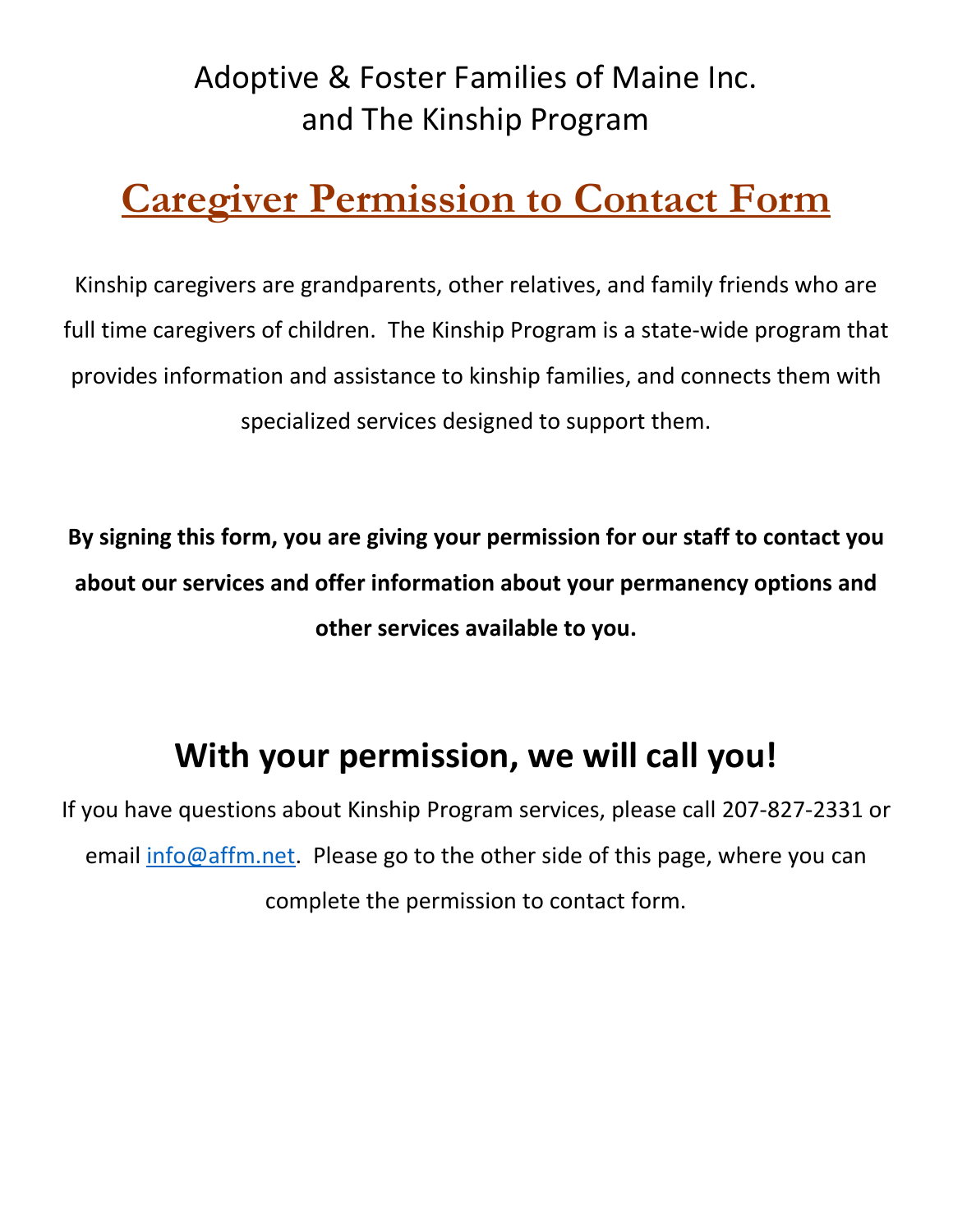## Adoptive & Foster Families of Maine Inc. and The Kinship Program

## **Caregiver Permission to Contact Form**

Kinship caregivers are grandparents, other relatives, and family friends who are full time caregivers of children. The Kinship Program is a state-wide program that provides information and assistance to kinship families, and connects them with specialized services designed to support them.

**By signing this form, you are giving your permission for our staff to contact you about our services and offer information about your permanency options and other services available to you.**

## **With your permission, we will call you!**

If you have questions about Kinship Program services, please call 207-827-2331 or email [info@affm.net.](mailto:info@affm.net) Please go to the other side of this page, where you can complete the permission to contact form.